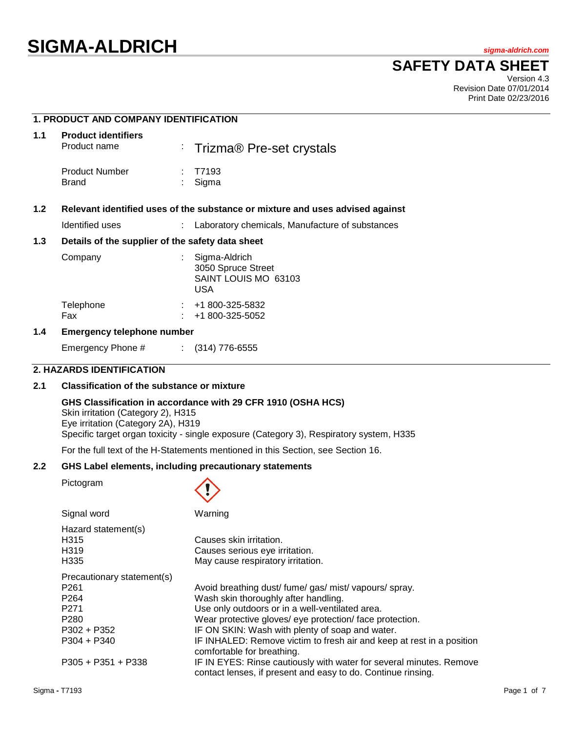# **SIGMA-ALDRICH** *sigma-aldrich.com*

### **SAFETY DATA SHEET**

Version 4.3 Revision Date 07/01/2014 Print Date 02/23/2016

|                                                                                      | <b>1. PRODUCT AND COMPANY IDENTIFICATION</b>     |    |                                                                           |  |
|--------------------------------------------------------------------------------------|--------------------------------------------------|----|---------------------------------------------------------------------------|--|
| 1.1                                                                                  | <b>Product identifiers</b><br>Product name       |    | : Trizma® Pre-set crystals                                                |  |
|                                                                                      | <b>Product Number</b><br><b>Brand</b>            | t. | T7193<br>Sigma                                                            |  |
| 1.2<br>Relevant identified uses of the substance or mixture and uses advised against |                                                  |    |                                                                           |  |
|                                                                                      | Identified uses                                  |    | : Laboratory chemicals, Manufacture of substances                         |  |
| 1.3                                                                                  | Details of the supplier of the safety data sheet |    |                                                                           |  |
|                                                                                      | Company                                          |    | Sigma-Aldrich<br>3050 Spruce Street<br>SAINT LOUIS MO 63103<br><b>USA</b> |  |
|                                                                                      | Telephone<br>Fax                                 |    | $\div$ +1 800-325-5832<br>+1 800-325-5052                                 |  |
| 1.4<br><b>Emergency telephone number</b>                                             |                                                  |    |                                                                           |  |
|                                                                                      |                                                  |    |                                                                           |  |

Emergency Phone # : (314) 776-6555

### **2. HAZARDS IDENTIFICATION**

### **2.1 Classification of the substance or mixture**

#### **GHS Classification in accordance with 29 CFR 1910 (OSHA HCS)**

Skin irritation (Category 2), H315 Eye irritation (Category 2A), H319 Specific target organ toxicity - single exposure (Category 3), Respiratory system, H335

For the full text of the H-Statements mentioned in this Section, see Section 16.

### **2.2 GHS Label elements, including precautionary statements**

Pictogram



| Signal word                | Warning                                                                                                                             |
|----------------------------|-------------------------------------------------------------------------------------------------------------------------------------|
| Hazard statement(s)        |                                                                                                                                     |
| H <sub>3</sub> 15          | Causes skin irritation.                                                                                                             |
| H <sub>3</sub> 19          | Causes serious eye irritation.                                                                                                      |
| H335                       | May cause respiratory irritation.                                                                                                   |
| Precautionary statement(s) |                                                                                                                                     |
| P <sub>261</sub>           | Avoid breathing dust/fume/gas/mist/vapours/spray.                                                                                   |
| P <sub>264</sub>           | Wash skin thoroughly after handling.                                                                                                |
| P <sub>271</sub>           | Use only outdoors or in a well-ventilated area.                                                                                     |
| P <sub>280</sub>           | Wear protective gloves/ eye protection/ face protection.                                                                            |
| $P302 + P352$              | IF ON SKIN: Wash with plenty of soap and water.                                                                                     |
| $P304 + P340$              | IF INHALED: Remove victim to fresh air and keep at rest in a position<br>comfortable for breathing.                                 |
| $P305 + P351 + P338$       | IF IN EYES: Rinse cautiously with water for several minutes. Remove<br>contact lenses, if present and easy to do. Continue rinsing. |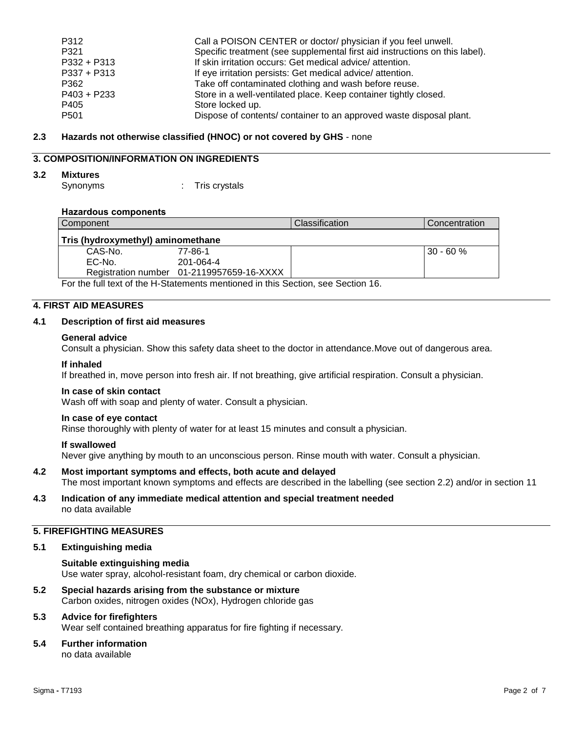| Call a POISON CENTER or doctor/ physician if you feel unwell.               |
|-----------------------------------------------------------------------------|
| Specific treatment (see supplemental first aid instructions on this label). |
| If skin irritation occurs: Get medical advice/attention.                    |
| If eye irritation persists: Get medical advice/attention.                   |
| Take off contaminated clothing and wash before reuse.                       |
| Store in a well-ventilated place. Keep container tightly closed.            |
| Store locked up.                                                            |
| Dispose of contents/ container to an approved waste disposal plant.         |
|                                                                             |

### **2.3 Hazards not otherwise classified (HNOC) or not covered by GHS** - none

### **3. COMPOSITION/INFORMATION ON INGREDIENTS**

### **3.2 Mixtures**

Synonyms : Tris crystals

### **Hazardous components**

| Component                         |                                           | <b>Classification</b> | Concentration |
|-----------------------------------|-------------------------------------------|-----------------------|---------------|
| Tris (hydroxymethyl) aminomethane |                                           |                       |               |
| CAS-No.                           | 77-86-1                                   |                       | $30 - 60%$    |
| EC-No.                            | 201-064-4                                 |                       |               |
|                                   | Registration number 01-2119957659-16-XXXX |                       |               |

For the full text of the H-Statements mentioned in this Section, see Section 16.

### **4. FIRST AID MEASURES**

### **4.1 Description of first aid measures**

### **General advice**

Consult a physician. Show this safety data sheet to the doctor in attendance.Move out of dangerous area.

### **If inhaled**

If breathed in, move person into fresh air. If not breathing, give artificial respiration. Consult a physician.

### **In case of skin contact**

Wash off with soap and plenty of water. Consult a physician.

### **In case of eye contact**

Rinse thoroughly with plenty of water for at least 15 minutes and consult a physician.

### **If swallowed**

Never give anything by mouth to an unconscious person. Rinse mouth with water. Consult a physician.

- **4.2 Most important symptoms and effects, both acute and delayed** The most important known symptoms and effects are described in the labelling (see section 2.2) and/or in section 11
- **4.3 Indication of any immediate medical attention and special treatment needed** no data available

### **5. FIREFIGHTING MEASURES**

### **5.1 Extinguishing media**

#### **Suitable extinguishing media** Use water spray, alcohol-resistant foam, dry chemical or carbon dioxide.

**5.2 Special hazards arising from the substance or mixture** Carbon oxides, nitrogen oxides (NOx), Hydrogen chloride gas

### **5.3 Advice for firefighters**

Wear self contained breathing apparatus for fire fighting if necessary.

### **5.4 Further information**

no data available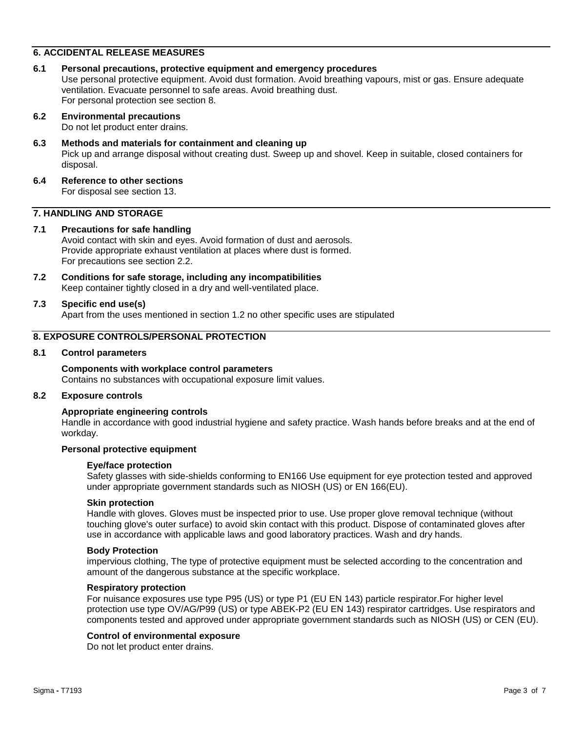### **6. ACCIDENTAL RELEASE MEASURES**

**6.1 Personal precautions, protective equipment and emergency procedures** Use personal protective equipment. Avoid dust formation. Avoid breathing vapours, mist or gas. Ensure adequate ventilation. Evacuate personnel to safe areas. Avoid breathing dust. For personal protection see section 8.

### **6.2 Environmental precautions**

Do not let product enter drains.

### **6.3 Methods and materials for containment and cleaning up**

Pick up and arrange disposal without creating dust. Sweep up and shovel. Keep in suitable, closed containers for disposal.

#### **6.4 Reference to other sections** For disposal see section 13.

### **7. HANDLING AND STORAGE**

### **7.1 Precautions for safe handling**

Avoid contact with skin and eyes. Avoid formation of dust and aerosols. Provide appropriate exhaust ventilation at places where dust is formed. For precautions see section 2.2.

**7.2 Conditions for safe storage, including any incompatibilities** Keep container tightly closed in a dry and well-ventilated place.

### **7.3 Specific end use(s)**

Apart from the uses mentioned in section 1.2 no other specific uses are stipulated

### **8. EXPOSURE CONTROLS/PERSONAL PROTECTION**

#### **8.1 Control parameters**

#### **Components with workplace control parameters**

Contains no substances with occupational exposure limit values.

### **8.2 Exposure controls**

#### **Appropriate engineering controls**

Handle in accordance with good industrial hygiene and safety practice. Wash hands before breaks and at the end of workday.

### **Personal protective equipment**

#### **Eye/face protection**

Safety glasses with side-shields conforming to EN166 Use equipment for eye protection tested and approved under appropriate government standards such as NIOSH (US) or EN 166(EU).

#### **Skin protection**

Handle with gloves. Gloves must be inspected prior to use. Use proper glove removal technique (without touching glove's outer surface) to avoid skin contact with this product. Dispose of contaminated gloves after use in accordance with applicable laws and good laboratory practices. Wash and dry hands.

#### **Body Protection**

impervious clothing, The type of protective equipment must be selected according to the concentration and amount of the dangerous substance at the specific workplace.

#### **Respiratory protection**

For nuisance exposures use type P95 (US) or type P1 (EU EN 143) particle respirator.For higher level protection use type OV/AG/P99 (US) or type ABEK-P2 (EU EN 143) respirator cartridges. Use respirators and components tested and approved under appropriate government standards such as NIOSH (US) or CEN (EU).

#### **Control of environmental exposure**

Do not let product enter drains.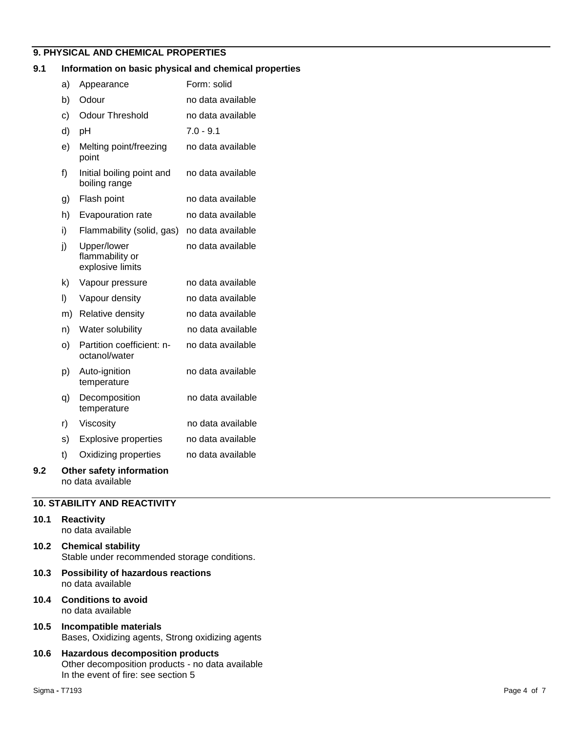### **9. PHYSICAL AND CHEMICAL PROPERTIES**

### **9.1 Information on basic physical and chemical properties**

|     | a) | Appearance                                         | Form: solid       |
|-----|----|----------------------------------------------------|-------------------|
|     | b) | Odour                                              | no data available |
|     | c) | <b>Odour Threshold</b>                             | no data available |
|     | d) | рH                                                 | $7.0 - 9.1$       |
|     | e) | Melting point/freezing<br>point                    | no data available |
|     | f) | Initial boiling point and<br>boiling range         | no data available |
|     | g) | Flash point                                        | no data available |
|     | h) | Evapouration rate                                  | no data available |
|     | i) | Flammability (solid, gas)                          | no data available |
|     | j) | Upper/lower<br>flammability or<br>explosive limits | no data available |
|     | k) | Vapour pressure                                    | no data available |
|     | I) | Vapour density                                     | no data available |
|     | m) | Relative density                                   | no data available |
|     | n) | Water solubility                                   | no data available |
|     | o) | Partition coefficient: n-<br>octanol/water         | no data available |
|     | p) | Auto-ignition<br>temperature                       | no data available |
|     | q) | Decomposition<br>temperature                       | no data available |
|     | r) | Viscosity                                          | no data available |
|     | s) | <b>Explosive properties</b>                        | no data available |
|     | t) | Oxidizing properties                               | no data available |
| 9.2 |    | Other safety information<br>no data available      |                   |

### **10. STABILITY AND REACTIVITY**

### **10.1 Reactivity**

- no data available
- **10.2 Chemical stability** Stable under recommended storage conditions.
- **10.3 Possibility of hazardous reactions** no data available
- **10.4 Conditions to avoid** no data available
- **10.5 Incompatible materials** Bases, Oxidizing agents, Strong oxidizing agents
- **10.6 Hazardous decomposition products** Other decomposition products - no data available In the event of fire: see section 5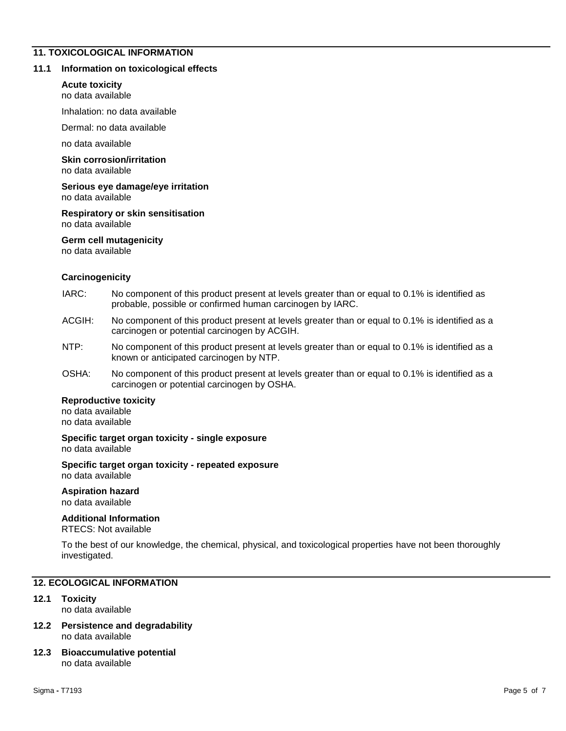### **11. TOXICOLOGICAL INFORMATION**

### **11.1 Information on toxicological effects**

### **Acute toxicity**

no data available

Inhalation: no data available

Dermal: no data available

no data available

#### **Skin corrosion/irritation** no data available

**Serious eye damage/eye irritation**

no data available

### **Respiratory or skin sensitisation** no data available

### **Germ cell mutagenicity**

no data available

### **Carcinogenicity**

- IARC: No component of this product present at levels greater than or equal to 0.1% is identified as probable, possible or confirmed human carcinogen by IARC.
- ACGIH: No component of this product present at levels greater than or equal to 0.1% is identified as a carcinogen or potential carcinogen by ACGIH.
- NTP: No component of this product present at levels greater than or equal to 0.1% is identified as a known or anticipated carcinogen by NTP.
- OSHA: No component of this product present at levels greater than or equal to 0.1% is identified as a carcinogen or potential carcinogen by OSHA.

### **Reproductive toxicity**

no data available no data available

#### **Specific target organ toxicity - single exposure** no data available

#### **Specific target organ toxicity - repeated exposure** no data available

### **Aspiration hazard**

no data available

### **Additional Information**

RTECS: Not available

To the best of our knowledge, the chemical, physical, and toxicological properties have not been thoroughly investigated.

### **12. ECOLOGICAL INFORMATION**

### **12.1 Toxicity**

no data available

### **12.2 Persistence and degradability** no data available

#### **12.3 Bioaccumulative potential** no data available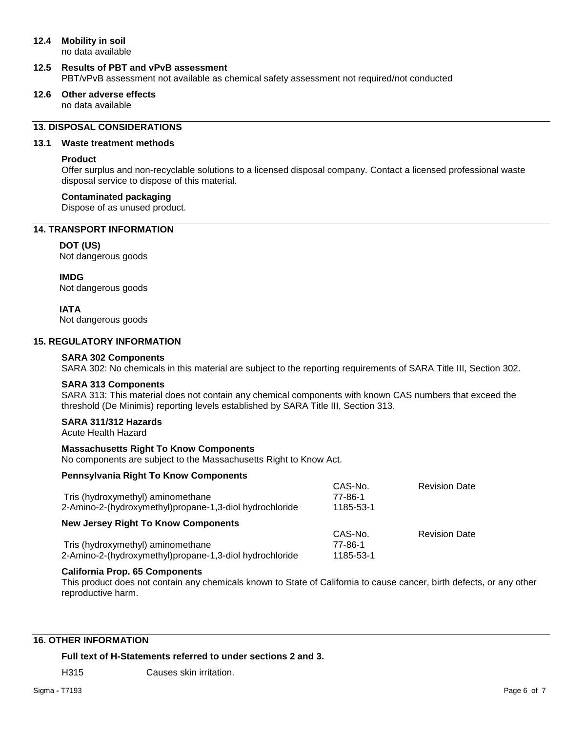### **12.4 Mobility in soil**

no data available

### **12.5 Results of PBT and vPvB assessment** PBT/vPvB assessment not available as chemical safety assessment not required/not conducted

**12.6 Other adverse effects** no data available

### **13. DISPOSAL CONSIDERATIONS**

### **13.1 Waste treatment methods**

### **Product**

Offer surplus and non-recyclable solutions to a licensed disposal company. Contact a licensed professional waste disposal service to dispose of this material.

### **Contaminated packaging**

Dispose of as unused product.

### **14. TRANSPORT INFORMATION**

### **DOT (US)**

Not dangerous goods

**IMDG**

Not dangerous goods

### **IATA**

Not dangerous goods

### **15. REGULATORY INFORMATION**

### **SARA 302 Components**

SARA 302: No chemicals in this material are subject to the reporting requirements of SARA Title III, Section 302.

### **SARA 313 Components**

SARA 313: This material does not contain any chemical components with known CAS numbers that exceed the threshold (De Minimis) reporting levels established by SARA Title III, Section 313.

### **SARA 311/312 Hazards**

Acute Health Hazard

### **Massachusetts Right To Know Components**

No components are subject to the Massachusetts Right to Know Act.

### **Pennsylvania Right To Know Components**

| Tris (hydroxymethyl) aminomethane<br>2-Amino-2-(hydroxymethyl)propane-1,3-diol hydrochloride | CAS-No.<br>77-86-1<br>1185-53-1 | <b>Revision Date</b> |
|----------------------------------------------------------------------------------------------|---------------------------------|----------------------|
| <b>New Jersey Right To Know Components</b>                                                   | CAS-No.                         | <b>Revision Date</b> |
| Tris (hydroxymethyl) aminomethane<br>2-Amino-2-(hydroxymethyl)propane-1,3-diol hydrochloride | 77-86-1<br>1185-53-1            |                      |

### **California Prop. 65 Components**

This product does not contain any chemicals known to State of California to cause cancer, birth defects, or any other reproductive harm.

### **16. OTHER INFORMATION**

**Full text of H-Statements referred to under sections 2 and 3.**

H315 Causes skin irritation.